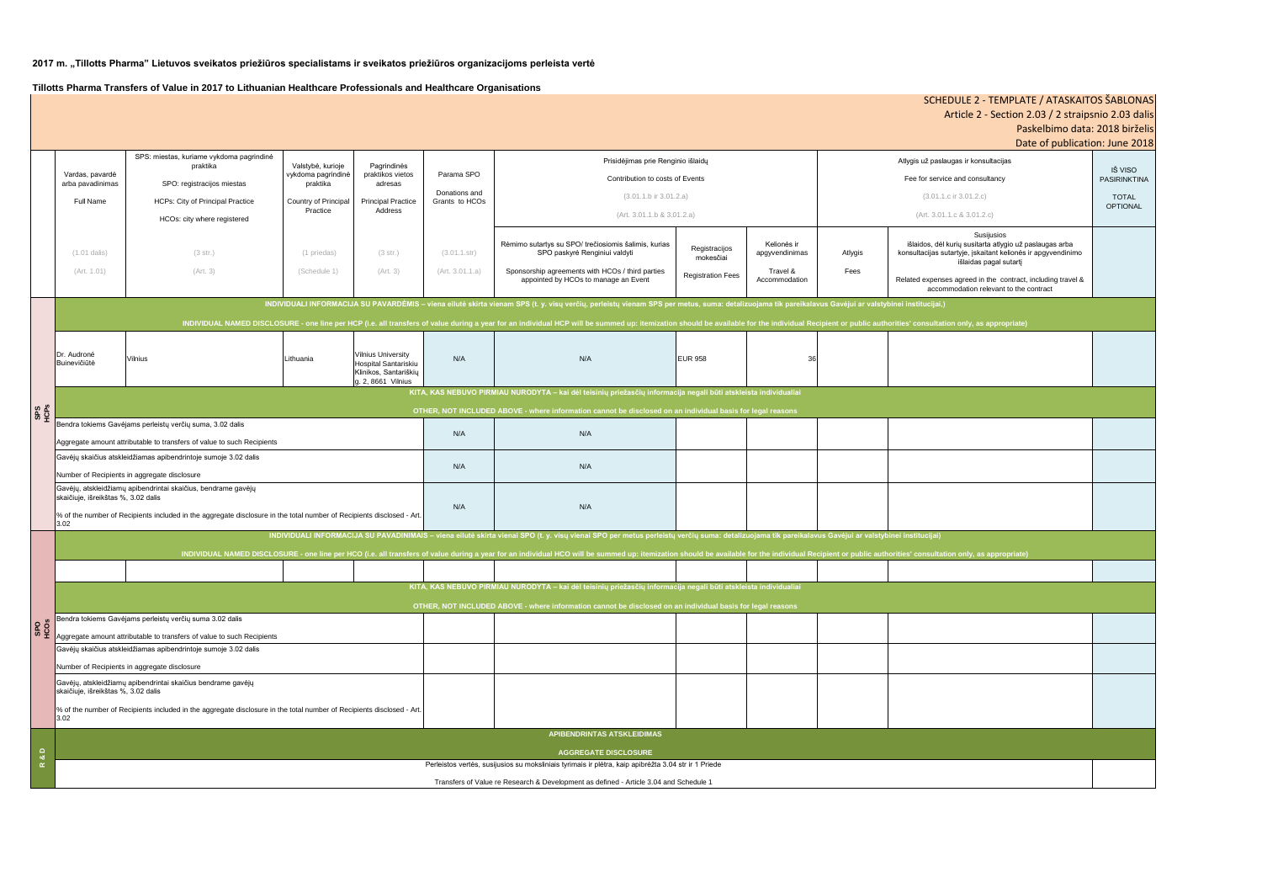| jas ir konsultacijas<br>and consultancy<br>ir 3.01.2.c)<br>c & 3.01.2.c<br>Susijusios<br>rių susitarta atlygio už paslaugas arba<br>rtyje, įskaitant kelionės ir apgyvendinimo | IŠ VISO<br><b>PASIRINKTINA</b><br><b>TOTAL</b><br><b>OPTIONAL</b> |
|--------------------------------------------------------------------------------------------------------------------------------------------------------------------------------|-------------------------------------------------------------------|
| išlaidas pagal sutartį<br>agreed in the contract, including travel &                                                                                                           |                                                                   |
| odation relevant to the contract                                                                                                                                               |                                                                   |
| only, as appropriate <mark>)</mark>                                                                                                                                            |                                                                   |
|                                                                                                                                                                                |                                                                   |
|                                                                                                                                                                                |                                                                   |
|                                                                                                                                                                                |                                                                   |
|                                                                                                                                                                                |                                                                   |
|                                                                                                                                                                                |                                                                   |
| n only, as appropriate)                                                                                                                                                        |                                                                   |
|                                                                                                                                                                                |                                                                   |
|                                                                                                                                                                                |                                                                   |
|                                                                                                                                                                                |                                                                   |
|                                                                                                                                                                                |                                                                   |
|                                                                                                                                                                                |                                                                   |
|                                                                                                                                                                                |                                                                   |
|                                                                                                                                                                                |                                                                   |

# SCHEDULE 2 - TEMPLATE / ATASKAITOS ŠABLONAS Article 2 - Section 2.03 / 2 straipsnio 2.03 dalis Paskelbimo data: 2018 birželis Date of publication: June 2018

Vardas, pavardė arba pavadinimas Full Name SPS: miestas, kuriame vykdoma pagrindinė praktika SPO: registracijos miestas HCPs: City of Principal Practice HCOs: city where registered Valstybė, kurioje vykdoma pagrindinė praktika Country of Principal Practice Pagrindinės praktikos vietos adresas Principal Practice Address Parama SPO Donations and Grants to HCOs (1.01 dalis) (Art. 1.01) (3 str.) (Art. 3) (1 priedas) (Schedule 1) (3 str.) (Art. 3) (3.01.1.str) (Art. 3.01.1.a) Rėmimo sutartys su SPO/ trečiosiomis šalimis, kurias SPO paskyrė Renginiui valdyti Sponsorship agreements with HCOs / third parties appointed by HCOs to manage an Event Registracijos mokesčiai Registration Fees Kelionės ir apgyvendinimas Travel & Accommodation Atlygis Fees išlaidos, dėl kur konsultacijas sutar Related expenses accomm Dr. Audroné<br>Buinevičiūtė Buinevičiūtė Vilnius Lithuania Vilnius University Hospital Santariskiu Klinikos, Santariškių g. 2, 8661 Vilnius N/A | N/A N/A EUR 958 | 36 N/A N/A N/A N/A N/A N/A Gavėjų skaičius atskleidžiamas apibendrintoje sumoje 3.02 dalis Number of Recipients in aggregate disclosure endra tokiems Gavėjams perleistų verčių suma 3.02 dalis Aggregate amount attributable to transfers of value to such Recipients **APIBENDRINTAS ATSKLEIDIMAS AGGREGATE DISCLOSURE SPS HCPs SPO HCOs** Gavėjų, atskleidžiamų apibendrintai skaičius bendrame gavėjų skaičiuje, išreikštas %, 3.02 dalis % of the number of Recipients included in the aggregate disclosure in the total number of Recipients disclosed - Art.  $3.02<sub>2</sub>$ Perleistos vertės, susijusios su moksliniais tyrimais ir plėtra, kaip apibrėžta 3.04 str ir 1 Priede Transfers of Value re Research & Development as defined - Article 3.04 and Schedule 1 Atlygis už paslaug Fee for service  $(3.01.1.c)$  $(Art. 3.01.1.0)$ Gavėjų skaičius atskleidžiamas apibendrintoje sumoje 3.02 dalis Number of Recipients in aggregate disclosure **INDIVIDUALI INFORMACIJA SU PAVARDĖMIS – viena eilutė skirta vienam SPS (t. y. visų verčių, perleistų vienam SPS per metus, suma: detalizuojama tik pareikalavus Gavėjui ar valstybinei institucijai,)** INDIVIDUAL NAMED DISCLOSURE - one line per HCP (i.e. all transfers of value during a year for an individual HCP will be summed up: itemization should be available for the individual Recipient or public authorities' consu Bendra tokiems Gavėjams perleistų verčių suma, 3.02 dalis Aggregate amount attributable to transfers of value to such Recipients **INDIVIDUALI INFORMACIJA SU PAVADINIMAIS – viena eilutė skirta vienai SPO (t. y. visų vienai SPO per metus perleistų verčių suma: detalizuojama tik pareikalavus Gavėjui ar valstybinei institucijai)** INDIVIDUAL NAMED DISCLOSURE - one line per HCO (i.e. all transfers of value during a year for an individual HCO will be summed up: itemization should be available for the individual Recipient or public a **KITA, KAS NEBUVO PIRMIAU NURODYTA – kai dėl teisinių priežasčių informacija negali būti atskleista individualiai OTHER, NOT INCLUDED ABOVE - where information cannot be disclosed on an individual basis for legal reasons** Gavėjų, atskleidžiamų apibendrintai skaičius, bendrame gavėjų skaičiuje, išreikštas %, 3.02 dalis % of the number of Recipients included in the aggregate disclosure in the total number of Recipients disclosed - Art. 3.02 **KITA, KAS NEBUVO PIRMIAU NURODYTA – kai dėl teisinių priežasčių informacija negali būti atskleista individualiai OTHER, NOT INCLUDED ABOVE - where information cannot be disclosed on an individual basis for legal reas** Prisidėjimas prie Renginio išlaidų Contribution to costs of Events (3.01.1.b ir 3.01.2.a) (Art. 3.01.1.b & 3.01.2.a) **R & D**

#### **2017 m. "Tillotts Pharma" Lietuvos sveikatos priežiūros specialistams ir sveikatos priežiūros organizacijoms perleista vertė**

**Tillotts Pharma Transfers of Value in 2017 to Lithuanian Healthcare Professionals and Healthcare Organisations**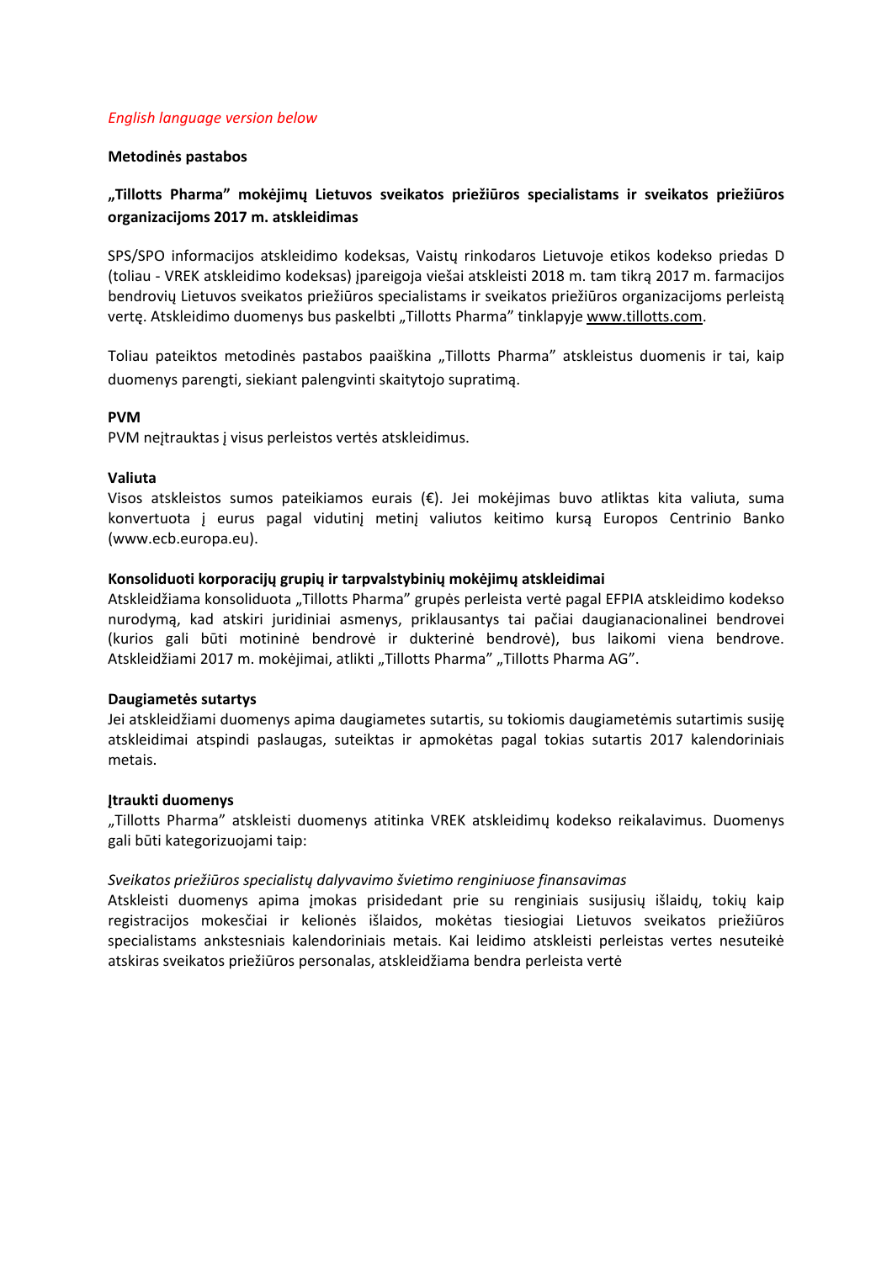### *English language version below*

## **Metodinės pastabos**

# **"Tillotts Pharma" mokėjimų Lietuvos sveikatos priežiūros specialistams ir sveikatos priežiūros organizacijoms 2017 m. atskleidimas**

SPS/SPO informacijos atskleidimo kodeksas, Vaistų rinkodaros Lietuvoje etikos kodekso priedas D (toliau ‐ VREK atskleidimo kodeksas) įpareigoja viešai atskleisti 2018 m. tam tikrą 2017 m. farmacijos bendrovių Lietuvos sveikatos priežiūros specialistams ir sveikatos priežiūros organizacijoms perleistą vertę. Atskleidimo duomenys bus paskelbti "Tillotts Pharma" tinklapyje www.tillotts.com.

Toliau pateiktos metodinės pastabos paaiškina "Tillotts Pharma" atskleistus duomenis ir tai, kaip duomenys parengti, siekiant palengvinti skaitytojo supratimą.

## **PVM**

PVM neitrauktas į visus perleistos vertės atskleidimus.

## **Valiuta**

Visos atskleistos sumos pateikiamos eurais (€). Jei mokėjimas buvo atliktas kita valiuta, suma konvertuota į eurus pagal vidutinį metinį valiutos keitimo kursą Europos Centrinio Banko (www.ecb.europa.eu).

## **Konsoliduoti korporacijų grupių ir tarpvalstybinių mokėjimų atskleidimai**

Atskleidžiama konsoliduota "Tillotts Pharma" grupės perleista vertė pagal EFPIA atskleidimo kodekso nurodymą, kad atskiri juridiniai asmenys, priklausantys tai pačiai daugianacionalinei bendrovei (kurios gali būti motininė bendrovė ir dukterinė bendrovė), bus laikomi viena bendrove. Atskleidžiami 2017 m. mokėjimai, atlikti "Tillotts Pharma" "Tillotts Pharma AG".

# **Daugiametės sutartys**

Jei atskleidžiami duomenys apima daugiametes sutartis, su tokiomis daugiametėmis sutartimis susiję atskleidimai atspindi paslaugas, suteiktas ir apmokėtas pagal tokias sutartis 2017 kalendoriniais metais.

### **Įtraukti duomenys**

"Tillotts Pharma" atskleisti duomenys atitinka VREK atskleidimų kodekso reikalavimus. Duomenys gali būti kategorizuojami taip:

# *Sveikatos priežiūros specialistų dalyvavimo švietimo renginiuose finansavimas*

Atskleisti duomenys apima įmokas prisidedant prie su renginiais susijusių išlaidų, tokių kaip registracijos mokesčiai ir kelionės išlaidos, mokėtas tiesiogiai Lietuvos sveikatos priežiūros specialistams ankstesniais kalendoriniais metais. Kai leidimo atskleisti perleistas vertes nesuteikė atskiras sveikatos priežiūros personalas, atskleidžiama bendra perleista vertė